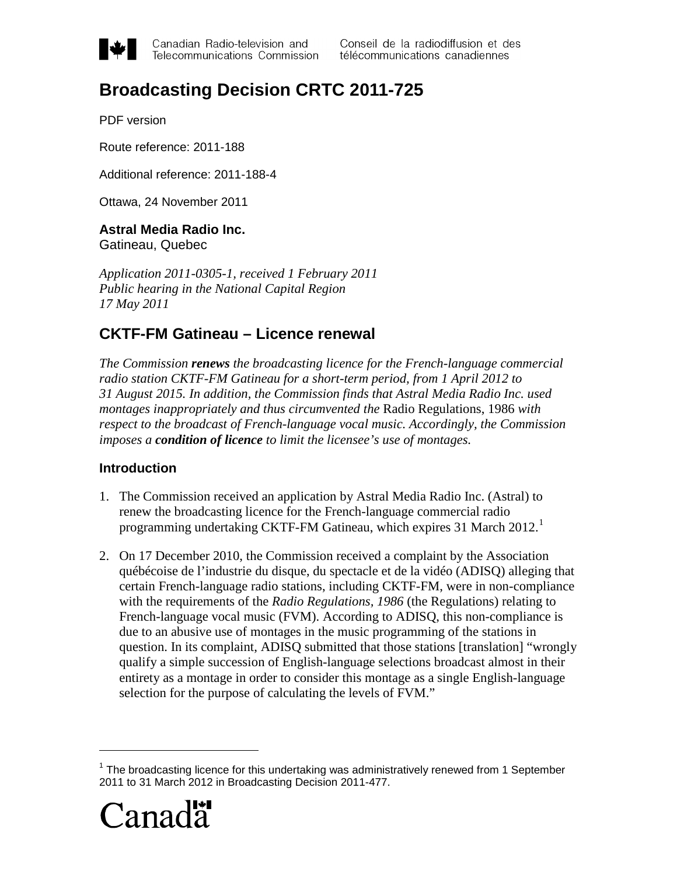

Canadian Radio-television and Telecommunications Commission

# **Broadcasting Decision CRTC 2011-725**

PDF version

Route reference: 2011-188

Additional reference: 2011-188-4

Ottawa, 24 November 2011

#### **Astral Media Radio Inc.**

Gatineau, Quebec

*Application 2011-0305-1, received 1 February 2011 Public hearing in the National Capital Region 17 May 2011*

# **CKTF-FM Gatineau – Licence renewal**

*The Commission renews the broadcasting licence for the French-language commercial radio station CKTF-FM Gatineau for a short-term period, from 1 April 2012 to 31 August 2015. In addition, the Commission finds that Astral Media Radio Inc. used montages inappropriately and thus circumvented the* Radio Regulations, 1986 *with respect to the broadcast of French-language vocal music. Accordingly, the Commission imposes a condition of licence to limit the licensee's use of montages.* 

#### **Introduction**

- 1. The Commission received an application by Astral Media Radio Inc. (Astral) to renew the broadcasting licence for the French-language commercial radio programming undertaking CKTF-FM Gatineau, which expires 3[1](#page-0-0) March 2012.<sup>1</sup>
- 2. On 17 December 2010, the Commission received a complaint by the Association québécoise de l'industrie du disque, du spectacle et de la vidéo (ADISQ) alleging that certain French-language radio stations, including CKTF-FM, were in non-compliance with the requirements of the *Radio Regulations, 1986* (the Regulations) relating to French-language vocal music (FVM). According to ADISQ, this non-compliance is due to an abusive use of montages in the music programming of the stations in question. In its complaint, ADISQ submitted that those stations [translation] "wrongly qualify a simple succession of English-language selections broadcast almost in their entirety as a montage in order to consider this montage as a single English-language selection for the purpose of calculating the levels of FVM."

<span id="page-0-0"></span><sup>&</sup>lt;sup>1</sup> The broadcasting licence for this undertaking was administratively renewed from 1 September 2011 to 31 March 2012 in Broadcasting Decision 2011-477.



 $\overline{a}$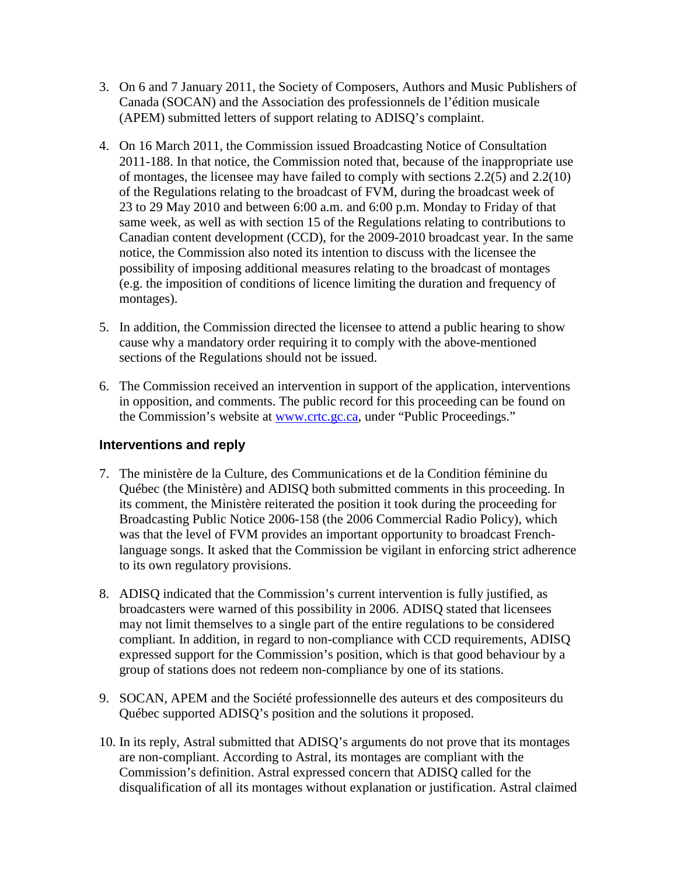- 3. On 6 and 7 January 2011, the Society of Composers, Authors and Music Publishers of Canada (SOCAN) and the Association des professionnels de l'édition musicale (APEM) submitted letters of support relating to ADISQ's complaint.
- 4. On 16 March 2011, the Commission issued Broadcasting Notice of Consultation 2011-188. In that notice, the Commission noted that, because of the inappropriate use of montages, the licensee may have failed to comply with sections 2.2(5) and 2.2(10) of the Regulations relating to the broadcast of FVM, during the broadcast week of 23 to 29 May 2010 and between 6:00 a.m. and 6:00 p.m. Monday to Friday of that same week, as well as with section 15 of the Regulations relating to contributions to Canadian content development (CCD), for the 2009-2010 broadcast year. In the same notice, the Commission also noted its intention to discuss with the licensee the possibility of imposing additional measures relating to the broadcast of montages (e.g. the imposition of conditions of licence limiting the duration and frequency of montages).
- 5. In addition, the Commission directed the licensee to attend a public hearing to show cause why a mandatory order requiring it to comply with the above-mentioned sections of the Regulations should not be issued.
- 6. The Commission received an intervention in support of the application, interventions in opposition, and comments. The public record for this proceeding can be found on the Commission's website at [www.crtc.gc.ca,](http://www.crtc.gc.ca/) under "Public Proceedings."

#### **Interventions and reply**

- 7. The ministère de la Culture, des Communications et de la Condition féminine du Québec (the Ministère) and ADISQ both submitted comments in this proceeding. In its comment, the Ministère reiterated the position it took during the proceeding for Broadcasting Public Notice 2006-158 (the 2006 Commercial Radio Policy), which was that the level of FVM provides an important opportunity to broadcast Frenchlanguage songs. It asked that the Commission be vigilant in enforcing strict adherence to its own regulatory provisions.
- 8. ADISQ indicated that the Commission's current intervention is fully justified, as broadcasters were warned of this possibility in 2006. ADISQ stated that licensees may not limit themselves to a single part of the entire regulations to be considered compliant. In addition, in regard to non-compliance with CCD requirements, ADISQ expressed support for the Commission's position, which is that good behaviour by a group of stations does not redeem non-compliance by one of its stations.
- 9. SOCAN, APEM and the Société professionnelle des auteurs et des compositeurs du Québec supported ADISQ's position and the solutions it proposed.
- 10. In its reply, Astral submitted that ADISQ's arguments do not prove that its montages are non-compliant. According to Astral, its montages are compliant with the Commission's definition. Astral expressed concern that ADISQ called for the disqualification of all its montages without explanation or justification. Astral claimed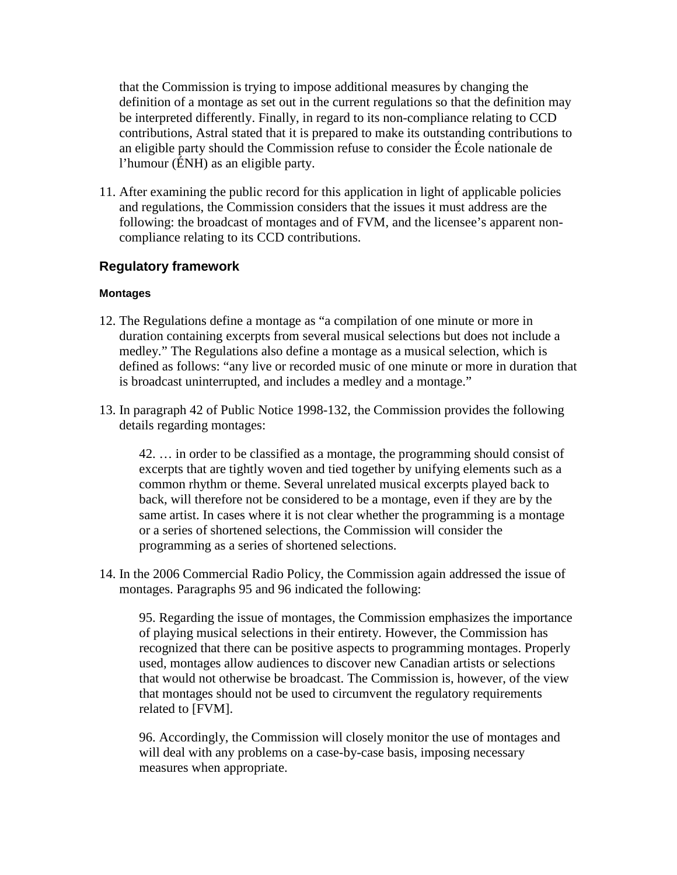that the Commission is trying to impose additional measures by changing the definition of a montage as set out in the current regulations so that the definition may be interpreted differently. Finally, in regard to its non-compliance relating to CCD contributions, Astral stated that it is prepared to make its outstanding contributions to an eligible party should the Commission refuse to consider the École nationale de l'humour (ÉNH) as an eligible party.

11. After examining the public record for this application in light of applicable policies and regulations, the Commission considers that the issues it must address are the following: the broadcast of montages and of FVM, and the licensee's apparent noncompliance relating to its CCD contributions.

#### **Regulatory framework**

#### **Montages**

- 12. The Regulations define a montage as "a compilation of one minute or more in duration containing excerpts from several musical selections but does not include a medley." The Regulations also define a montage as a musical selection, which is defined as follows: "any live or recorded music of one minute or more in duration that is broadcast uninterrupted, and includes a medley and a montage."
- 13. In paragraph 42 of Public Notice 1998-132, the Commission provides the following details regarding montages:

42. … in order to be classified as a montage, the programming should consist of excerpts that are tightly woven and tied together by unifying elements such as a common rhythm or theme. Several unrelated musical excerpts played back to back, will therefore not be considered to be a montage, even if they are by the same artist. In cases where it is not clear whether the programming is a montage or a series of shortened selections, the Commission will consider the programming as a series of shortened selections.

14. In the 2006 Commercial Radio Policy, the Commission again addressed the issue of montages. Paragraphs 95 and 96 indicated the following:

95. Regarding the issue of montages, the Commission emphasizes the importance of playing musical selections in their entirety. However, the Commission has recognized that there can be positive aspects to programming montages. Properly used, montages allow audiences to discover new Canadian artists or selections that would not otherwise be broadcast. The Commission is, however, of the view that montages should not be used to circumvent the regulatory requirements related to [FVM].

96. Accordingly, the Commission will closely monitor the use of montages and will deal with any problems on a case-by-case basis, imposing necessary measures when appropriate.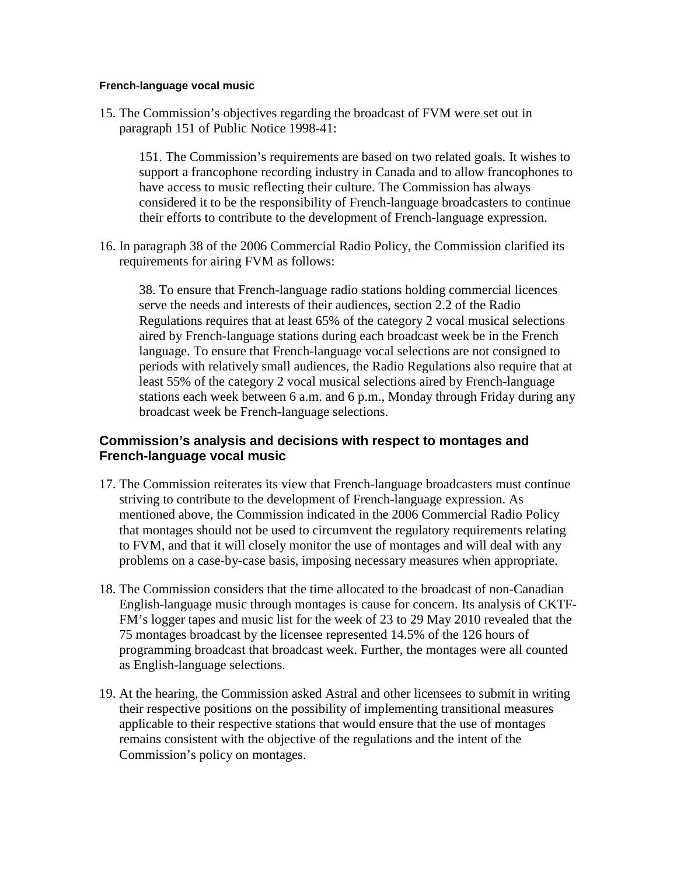#### **French-language vocal music**

15. The Commission's objectives regarding the broadcast of FVM were set out in paragraph 151 of Public Notice 1998-41:

151. The Commission's requirements are based on two related goals. It wishes to support a francophone recording industry in Canada and to allow francophones to have access to music reflecting their culture. The Commission has always considered it to be the responsibility of French-language broadcasters to continue their efforts to contribute to the development of French-language expression.

16. In paragraph 38 of the 2006 Commercial Radio Policy, the Commission clarified its requirements for airing FVM as follows:

38. To ensure that French-language radio stations holding commercial licences serve the needs and interests of their audiences, section 2.2 of the Radio Regulations requires that at least 65% of the category 2 vocal musical selections aired by French-language stations during each broadcast week be in the French language. To ensure that French-language vocal selections are not consigned to periods with relatively small audiences, the Radio Regulations also require that at least 55% of the category 2 vocal musical selections aired by French-language stations each week between 6 a.m. and 6 p.m., Monday through Friday during any broadcast week be French-language selections.

#### **Commission's analysis and decisions with respect to montages and French-language vocal music**

- 17. The Commission reiterates its view that French-language broadcasters must continue striving to contribute to the development of French-language expression. As mentioned above, the Commission indicated in the 2006 Commercial Radio Policy that montages should not be used to circumvent the regulatory requirements relating to FVM, and that it will closely monitor the use of montages and will deal with any problems on a case-by-case basis, imposing necessary measures when appropriate.
- 18. The Commission considers that the time allocated to the broadcast of non-Canadian English-language music through montages is cause for concern. Its analysis of CKTF-FM's logger tapes and music list for the week of 23 to 29 May 2010 revealed that the 75 montages broadcast by the licensee represented 14.5% of the 126 hours of programming broadcast that broadcast week. Further, the montages were all counted as English-language selections.
- 19. At the hearing, the Commission asked Astral and other licensees to submit in writing their respective positions on the possibility of implementing transitional measures applicable to their respective stations that would ensure that the use of montages remains consistent with the objective of the regulations and the intent of the Commission's policy on montages.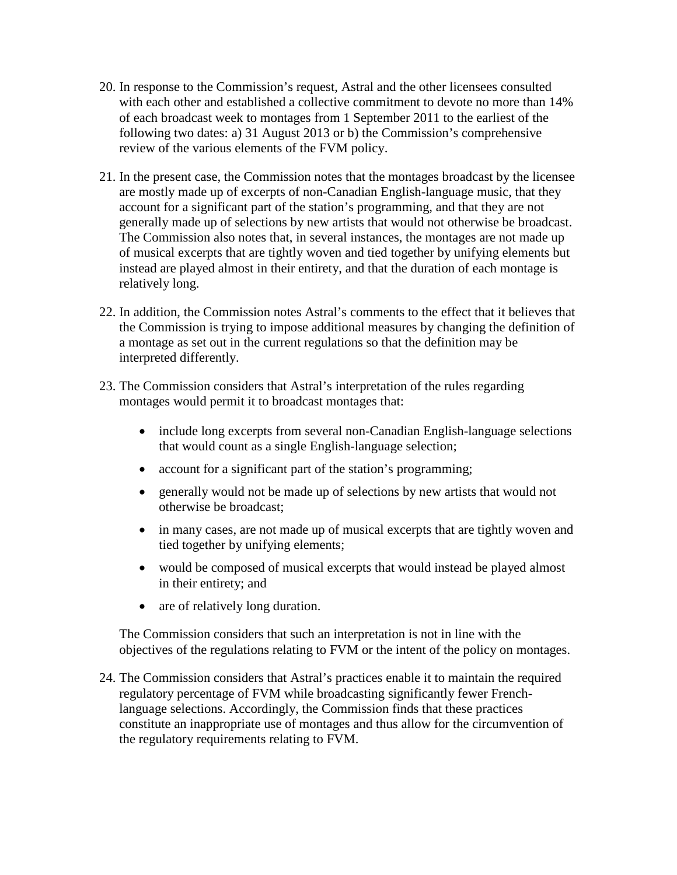- 20. In response to the Commission's request, Astral and the other licensees consulted with each other and established a collective commitment to devote no more than 14% of each broadcast week to montages from 1 September 2011 to the earliest of the following two dates: a) 31 August 2013 or b) the Commission's comprehensive review of the various elements of the FVM policy.
- 21. In the present case, the Commission notes that the montages broadcast by the licensee are mostly made up of excerpts of non-Canadian English-language music, that they account for a significant part of the station's programming, and that they are not generally made up of selections by new artists that would not otherwise be broadcast. The Commission also notes that, in several instances, the montages are not made up of musical excerpts that are tightly woven and tied together by unifying elements but instead are played almost in their entirety, and that the duration of each montage is relatively long.
- 22. In addition, the Commission notes Astral's comments to the effect that it believes that the Commission is trying to impose additional measures by changing the definition of a montage as set out in the current regulations so that the definition may be interpreted differently.
- 23. The Commission considers that Astral's interpretation of the rules regarding montages would permit it to broadcast montages that:
	- include long excerpts from several non-Canadian English-language selections that would count as a single English-language selection;
	- account for a significant part of the station's programming;
	- generally would not be made up of selections by new artists that would not otherwise be broadcast;
	- in many cases, are not made up of musical excerpts that are tightly woven and tied together by unifying elements;
	- would be composed of musical excerpts that would instead be played almost in their entirety; and
	- are of relatively long duration.

The Commission considers that such an interpretation is not in line with the objectives of the regulations relating to FVM or the intent of the policy on montages.

24. The Commission considers that Astral's practices enable it to maintain the required regulatory percentage of FVM while broadcasting significantly fewer Frenchlanguage selections. Accordingly, the Commission finds that these practices constitute an inappropriate use of montages and thus allow for the circumvention of the regulatory requirements relating to FVM.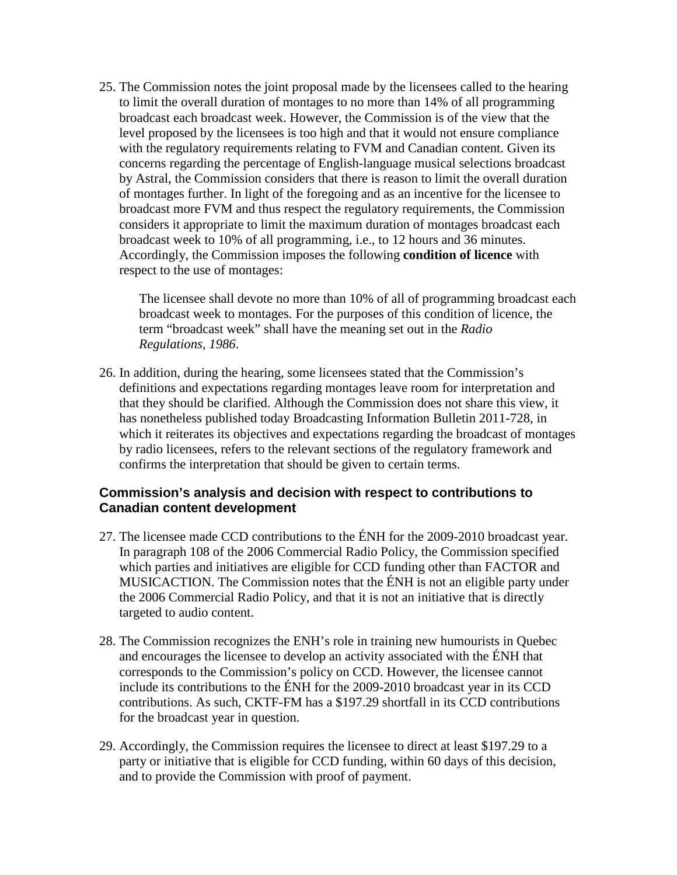25. The Commission notes the joint proposal made by the licensees called to the hearing to limit the overall duration of montages to no more than 14% of all programming broadcast each broadcast week. However, the Commission is of the view that the level proposed by the licensees is too high and that it would not ensure compliance with the regulatory requirements relating to FVM and Canadian content. Given its concerns regarding the percentage of English-language musical selections broadcast by Astral, the Commission considers that there is reason to limit the overall duration of montages further. In light of the foregoing and as an incentive for the licensee to broadcast more FVM and thus respect the regulatory requirements, the Commission considers it appropriate to limit the maximum duration of montages broadcast each broadcast week to 10% of all programming, i.e., to 12 hours and 36 minutes. Accordingly, the Commission imposes the following **condition of licence** with respect to the use of montages:

The licensee shall devote no more than 10% of all of programming broadcast each broadcast week to montages. For the purposes of this condition of licence, the term "broadcast week" shall have the meaning set out in the *Radio Regulations, 1986*.

26. In addition, during the hearing, some licensees stated that the Commission's definitions and expectations regarding montages leave room for interpretation and that they should be clarified. Although the Commission does not share this view, it has nonetheless published today Broadcasting Information Bulletin 2011-728, in which it reiterates its objectives and expectations regarding the broadcast of montages by radio licensees, refers to the relevant sections of the regulatory framework and confirms the interpretation that should be given to certain terms.

#### **Commission's analysis and decision with respect to contributions to Canadian content development**

- 27. The licensee made CCD contributions to the ÉNH for the 2009-2010 broadcast year. In paragraph 108 of the 2006 Commercial Radio Policy, the Commission specified which parties and initiatives are eligible for CCD funding other than FACTOR and MUSICACTION. The Commission notes that the ÉNH is not an eligible party under the 2006 Commercial Radio Policy, and that it is not an initiative that is directly targeted to audio content.
- 28. The Commission recognizes the ENH's role in training new humourists in Quebec and encourages the licensee to develop an activity associated with the ÉNH that corresponds to the Commission's policy on CCD. However, the licensee cannot include its contributions to the ÉNH for the 2009-2010 broadcast year in its CCD contributions. As such, CKTF-FM has a \$197.29 shortfall in its CCD contributions for the broadcast year in question.
- 29. Accordingly, the Commission requires the licensee to direct at least \$197.29 to a party or initiative that is eligible for CCD funding, within 60 days of this decision, and to provide the Commission with proof of payment.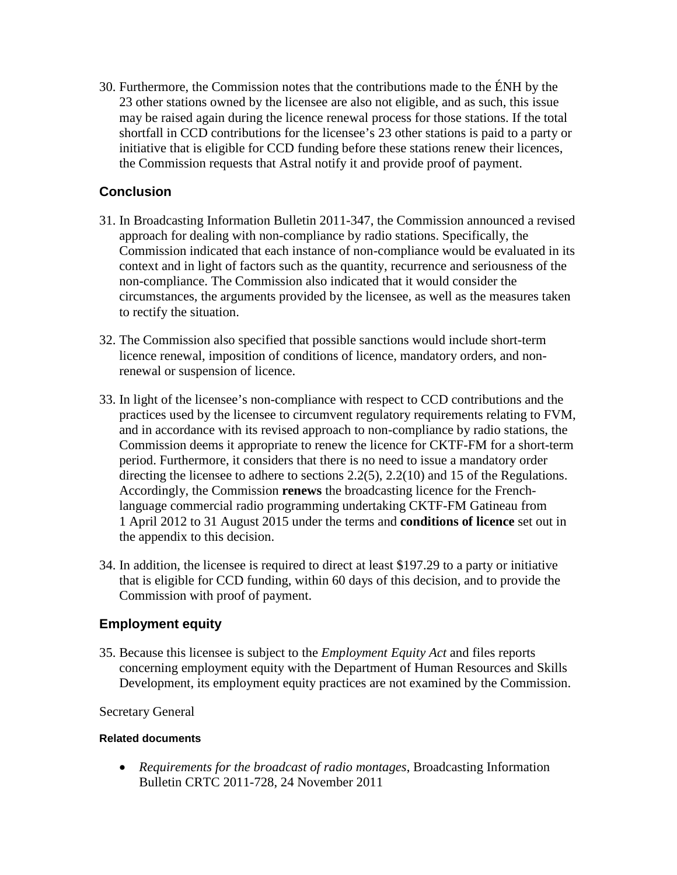30. Furthermore, the Commission notes that the contributions made to the ÉNH by the 23 other stations owned by the licensee are also not eligible, and as such, this issue may be raised again during the licence renewal process for those stations. If the total shortfall in CCD contributions for the licensee's 23 other stations is paid to a party or initiative that is eligible for CCD funding before these stations renew their licences, the Commission requests that Astral notify it and provide proof of payment.

# **Conclusion**

- 31. In Broadcasting Information Bulletin [2011-347,](http://www.crtc.gc.ca/eng/archive/2011/2011-347.htm) the Commission announced a revised approach for dealing with non-compliance by radio stations. Specifically, the Commission indicated that each instance of non-compliance would be evaluated in its context and in light of factors such as the quantity, recurrence and seriousness of the non-compliance. The Commission also indicated that it would consider the circumstances, the arguments provided by the licensee, as well as the measures taken to rectify the situation.
- 32. The Commission also specified that possible sanctions would include short-term licence renewal, imposition of conditions of licence, mandatory orders, and nonrenewal or suspension of licence.
- 33. In light of the licensee's non-compliance with respect to CCD contributions and the practices used by the licensee to circumvent regulatory requirements relating to FVM, and in accordance with its revised approach to non-compliance by radio stations, the Commission deems it appropriate to renew the licence for CKTF-FM for a short-term period. Furthermore, it considers that there is no need to issue a mandatory order directing the licensee to adhere to sections 2.2(5), 2.2(10) and 15 of the Regulations. Accordingly, the Commission **renews** the broadcasting licence for the Frenchlanguage commercial radio programming undertaking CKTF-FM Gatineau from 1 April 2012 to 31 August 2015 under the terms and **conditions of licence** set out in the appendix to this decision.
- 34. In addition, the licensee is required to direct at least \$197.29 to a party or initiative that is eligible for CCD funding, within 60 days of this decision, and to provide the Commission with proof of payment.

### **Employment equity**

35. Because this licensee is subject to the *Employment Equity Act* and files reports concerning employment equity with the Department of Human Resources and Skills Development, its employment equity practices are not examined by the Commission.

#### Secretary General

#### **Related documents**

• *Requirements for the broadcast of radio montages*, Broadcasting Information Bulletin CRTC 2011-728, 24 November 2011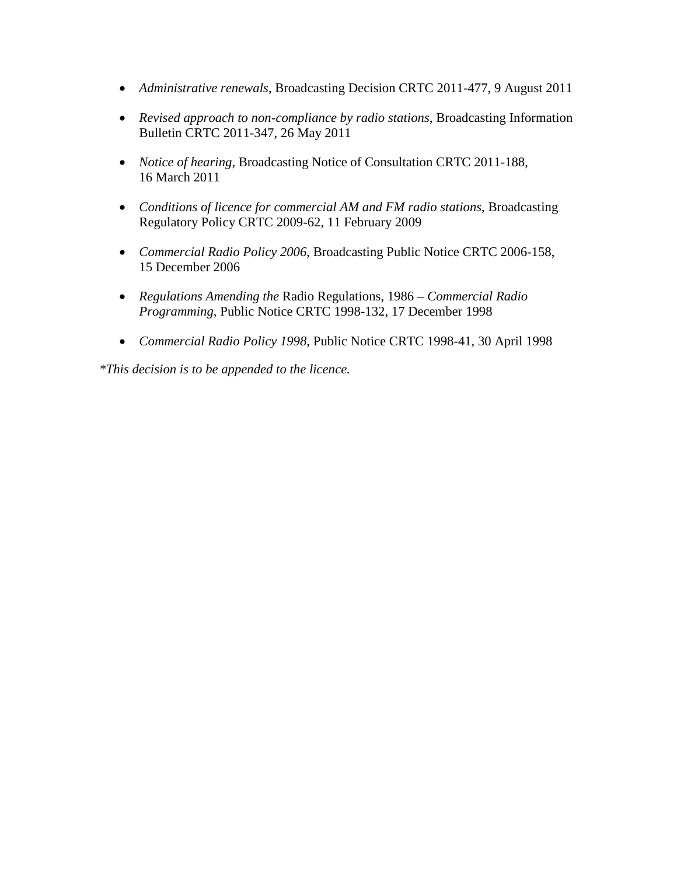- *Administrative renewals*, Broadcasting Decision CRTC 2011-477, 9 August 2011
- *Revised approach to non-compliance by radio stations*, Broadcasting Information Bulletin CRTC 2011-347, 26 May 2011
- *Notice of hearing*, Broadcasting Notice of Consultation CRTC 2011-188, 16 March 2011
- *Conditions of licence for commercial AM and FM radio stations*, Broadcasting Regulatory Policy CRTC 2009-62, 11 February 2009
- *Commercial Radio Policy 2006*, Broadcasting Public Notice CRTC 2006-158, 15 December 2006
- *Regulations Amending the* Radio Regulations, 1986 *– Commercial Radio Programming*, Public Notice CRTC 1998-132, 17 December 1998
- *Commercial Radio Policy 1998*, Public Notice CRTC 1998-41, 30 April 1998

*\*This decision is to be appended to the licence.*